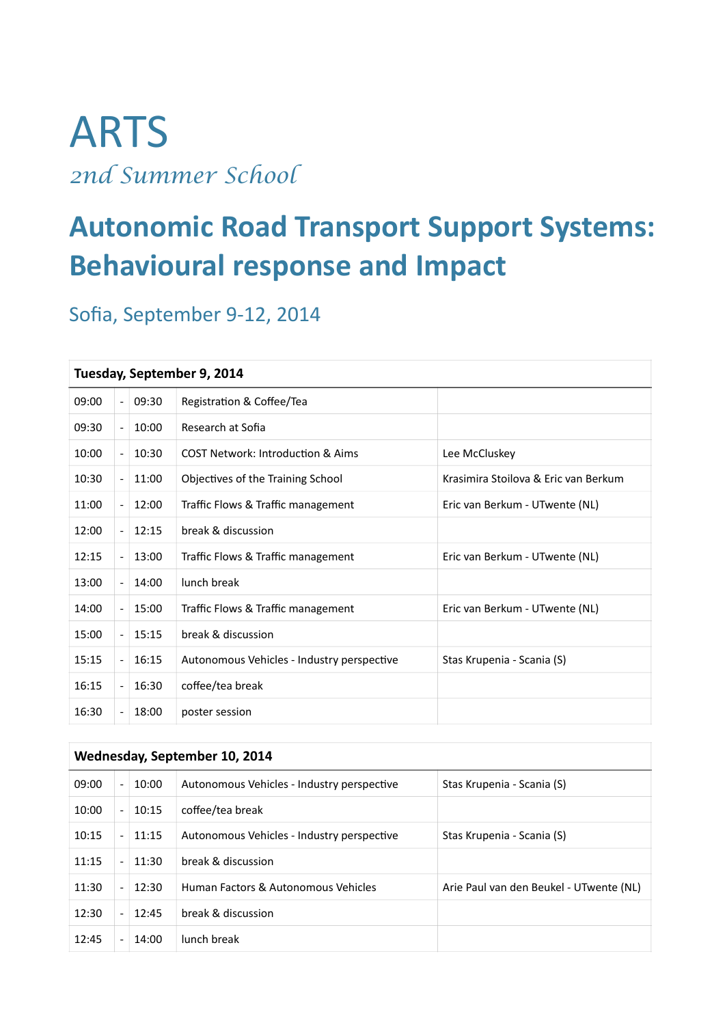# ARTS *2nd Summer School*

## **Autonomic Road Transport Support Systems: Behavioural response and Impact**

## Sofia, September 9-12, 2014

#### **Tuesday, September 9, 2014**

| 09:00 |  | 09:30 | Registration & Coffee/Tea                    |                                      |
|-------|--|-------|----------------------------------------------|--------------------------------------|
| 09:30 |  | 10:00 | Research at Sofia                            |                                      |
| 10:00 |  | 10:30 | <b>COST Network: Introduction &amp; Aims</b> | Lee McCluskey                        |
| 10:30 |  | 11:00 | Objectives of the Training School            | Krasimira Stoilova & Eric van Berkum |
| 11:00 |  | 12:00 | Traffic Flows & Traffic management           | Eric van Berkum - UTwente (NL)       |
| 12:00 |  | 12:15 | break & discussion                           |                                      |
| 12:15 |  | 13:00 | Traffic Flows & Traffic management           | Eric van Berkum - UTwente (NL)       |
| 13:00 |  | 14:00 | lunch break                                  |                                      |
| 14:00 |  | 15:00 | Traffic Flows & Traffic management           | Eric van Berkum - UTwente (NL)       |
| 15:00 |  | 15:15 | break & discussion                           |                                      |
| 15:15 |  | 16:15 | Autonomous Vehicles - Industry perspective   | Stas Krupenia - Scania (S)           |
| 16:15 |  | 16:30 | coffee/tea break                             |                                      |
| 16:30 |  | 18:00 | poster session                               |                                      |

| Wednesday, September 10, 2014 |                          |       |                                            |                                         |
|-------------------------------|--------------------------|-------|--------------------------------------------|-----------------------------------------|
| 09:00                         | $\overline{\phantom{a}}$ | 10:00 | Autonomous Vehicles - Industry perspective | Stas Krupenia - Scania (S)              |
| 10:00                         | $\overline{a}$           | 10:15 | coffee/tea break                           |                                         |
| 10:15                         | $\overline{\phantom{0}}$ | 11:15 | Autonomous Vehicles - Industry perspective | Stas Krupenia - Scania (S)              |
| 11:15                         | $\overline{a}$           | 11:30 | break & discussion                         |                                         |
| 11:30                         |                          | 12:30 | Human Factors & Autonomous Vehicles        | Arie Paul van den Beukel - UTwente (NL) |
| 12:30                         | $\overline{\phantom{0}}$ | 12:45 | break & discussion                         |                                         |
| 12:45                         |                          | 14:00 | lunch break                                |                                         |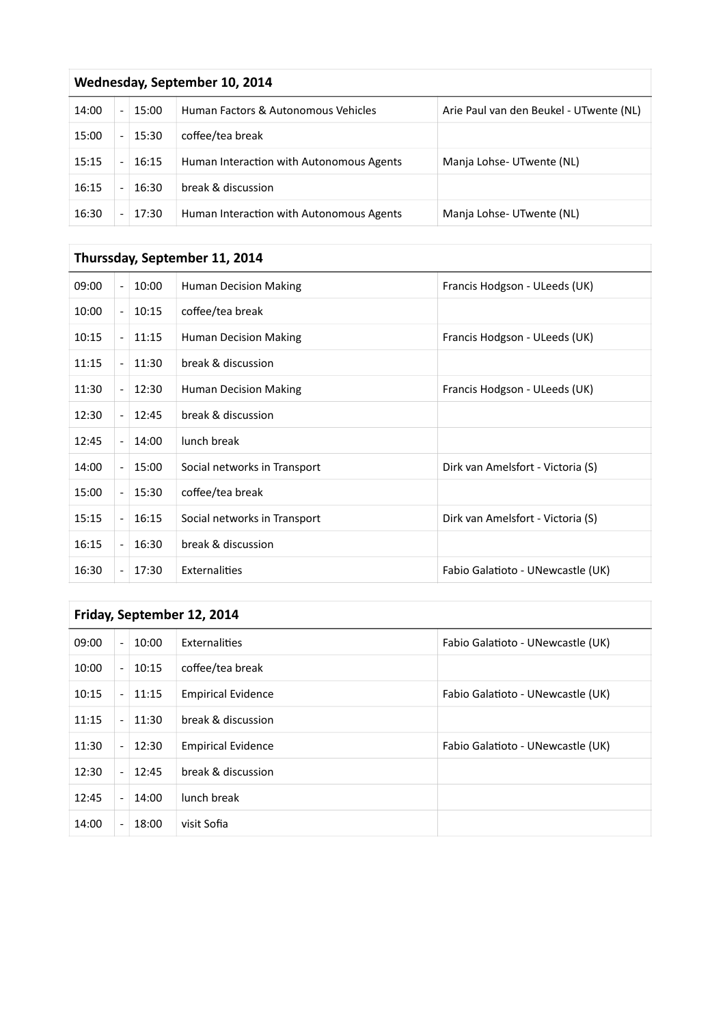| Wednesday, September 10, 2014 |  |       |                                          |                                         |
|-------------------------------|--|-------|------------------------------------------|-----------------------------------------|
| 14:00                         |  | 15:00 | Human Factors & Autonomous Vehicles      | Arie Paul van den Beukel - UTwente (NL) |
| 15:00                         |  | 15:30 | coffee/tea break                         |                                         |
| 15:15                         |  | 16:15 | Human Interaction with Autonomous Agents | Manja Lohse- UTwente (NL)               |
| 16:15                         |  | 16:30 | break & discussion                       |                                         |
| 16:30                         |  | 17:30 | Human Interaction with Autonomous Agents | Manja Lohse-UTwente (NL)                |

### **Thurssday, September 11, 2014**

| Friday, September 12, 2014 |  |       |                           |                                   |
|----------------------------|--|-------|---------------------------|-----------------------------------|
| 09:00                      |  | 10:00 | Externalities             | Fabio Galatioto - UNewcastle (UK) |
| 10:00                      |  | 10:15 | coffee/tea break          |                                   |
| 10:15                      |  | 11:15 | <b>Empirical Evidence</b> | Fabio Galatioto - UNewcastle (UK) |
| 11:15                      |  | 11:30 | break & discussion        |                                   |
| 11:30                      |  | 12:30 | <b>Empirical Evidence</b> | Fabio Galatioto - UNewcastle (UK) |
| 12:30                      |  | 12:45 | break & discussion        |                                   |
| 12:45                      |  | 14:00 | lunch break               |                                   |
| 14:00                      |  | 18:00 | visit Sofia               |                                   |